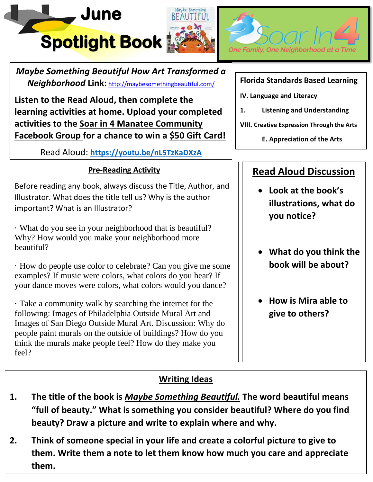





*Maybe Something Beautiful How Art Transformed a Neighborhood* **Link:** <http://maybesomethingbeautiful.com/>

**Listen to the Read Aloud, then complete the learning activities at home. Upload your completed activities to the Soar in 4 Manatee Community Facebook Group for a chance to win a \$50 Gift Card!**

Read Aloud: **<https://youtu.be/nL5TzKaDXzA>**

### **Pre-Reading Activity**

Before reading any book, always discuss the Title, Author, and Illustrator. What does the title tell us? Why is the author important? What is an Illustrator?

· What do you see in your neighborhood that is beautiful? Why? How would you make your neighborhood more beautiful?

· How do people use color to celebrate? Can you give me some examples? If music were colors, what colors do you hear? If your dance moves were colors, what colors would you dance?

· Take a community walk by searching the internet for the following: Images of Philadelphia Outside Mural Art and Images of San Diego Outside Mural Art. Discussion: Why do people paint murals on the outside of buildings? How do you think the murals make people feel? How do they make you feel?

**Florida Standards Based Learning**

- **IV. Language and Literacy**
- **1. Listening and Understanding**
- **VIII. Creative Expression Through the Arts**
	- **E. Appreciation of the Arts**

## **Read Aloud Discussion**

- **Look at the book's illustrations, what do you notice?**
- **What do you think the book will be about?**
- **How is Mira able to give to others?**

### **Writing Ideas**

- **1. The title of the book is** *Maybe Something Beautiful.* **The word beautiful means "full of beauty." What is something you consider beautiful? Where do you find beauty? Draw a picture and write to explain where and why.**
- **2. Think of someone special in your life and create a colorful picture to give to them. Write them a note to let them know how much you care and appreciate them.**